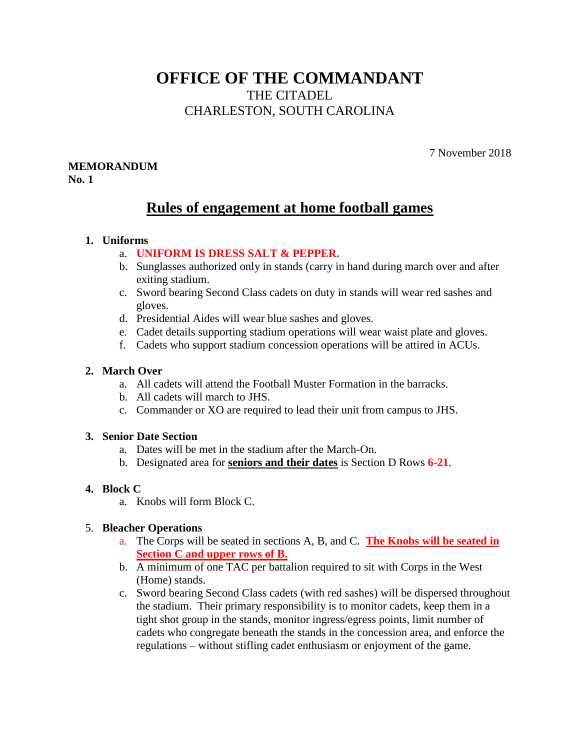# **OFFICE OF THE COMMANDANT** THE CITADEL CHARLESTON, SOUTH CAROLINA

7 November 2018

#### **MEMORANDUM No. 1**

# **Rules of engagement at home football games**

## **1. Uniforms**

# a. **UNIFORM IS DRESS SALT & PEPPER.**

- b. Sunglasses authorized only in stands (carry in hand during march over and after exiting stadium.
- c. Sword bearing Second Class cadets on duty in stands will wear red sashes and gloves.
- d. Presidential Aides will wear blue sashes and gloves.
- e. Cadet details supporting stadium operations will wear waist plate and gloves.
- f. Cadets who support stadium concession operations will be attired in ACUs.

## **2. March Over**

- a. All cadets will attend the Football Muster Formation in the barracks.
- b. All cadets will march to JHS.
- c. Commander or XO are required to lead their unit from campus to JHS.

#### **3. Senior Date Section**

- a. Dates will be met in the stadium after the March-On.
- b. Designated area for **seniors and their dates** is Section D Rows **6-21**.

## **4. Block C**

a. Knobs will form Block C.

# 5. **Bleacher Operations**

- a. The Corps will be seated in sections A, B, and C. **The Knobs will be seated in Section C and upper rows of B.**
- b. A minimum of one TAC per battalion required to sit with Corps in the West (Home) stands.
- c. Sword bearing Second Class cadets (with red sashes) will be dispersed throughout the stadium. Their primary responsibility is to monitor cadets, keep them in a tight shot group in the stands, monitor ingress/egress points, limit number of cadets who congregate beneath the stands in the concession area, and enforce the regulations – without stifling cadet enthusiasm or enjoyment of the game.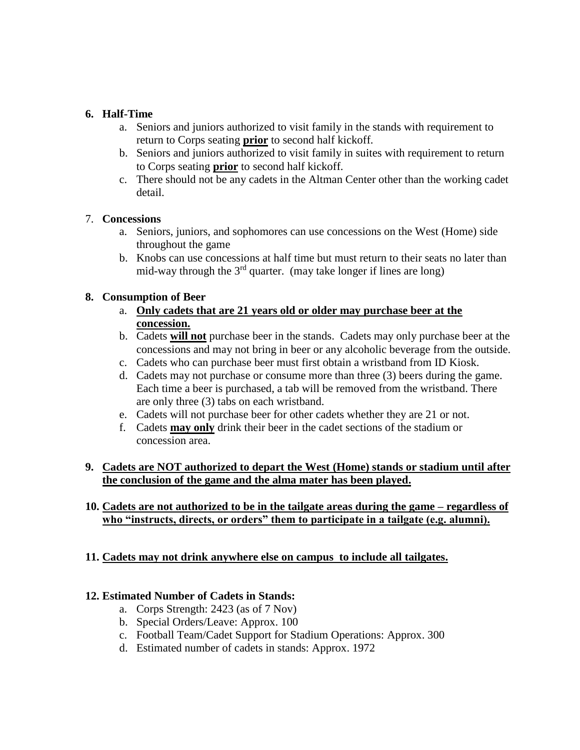## **6. Half-Time**

- a. Seniors and juniors authorized to visit family in the stands with requirement to return to Corps seating **prior** to second half kickoff.
- b. Seniors and juniors authorized to visit family in suites with requirement to return to Corps seating **prior** to second half kickoff.
- c. There should not be any cadets in the Altman Center other than the working cadet detail.

## 7. **Concessions**

- a. Seniors, juniors, and sophomores can use concessions on the West (Home) side throughout the game
- b. Knobs can use concessions at half time but must return to their seats no later than mid-way through the  $3<sup>rd</sup>$  quarter. (may take longer if lines are long)

## **8. Consumption of Beer**

- a. **Only cadets that are 21 years old or older may purchase beer at the concession.**
- b. Cadets **will not** purchase beer in the stands. Cadets may only purchase beer at the concessions and may not bring in beer or any alcoholic beverage from the outside.
- c. Cadets who can purchase beer must first obtain a wristband from ID Kiosk.
- d. Cadets may not purchase or consume more than three (3) beers during the game. Each time a beer is purchased, a tab will be removed from the wristband. There are only three (3) tabs on each wristband.
- e. Cadets will not purchase beer for other cadets whether they are 21 or not.
- f. Cadets **may only** drink their beer in the cadet sections of the stadium or concession area.

## **9. Cadets are NOT authorized to depart the West (Home) stands or stadium until after the conclusion of the game and the alma mater has been played.**

# **10. Cadets are not authorized to be in the tailgate areas during the game – regardless of who "instructs, directs, or orders" them to participate in a tailgate (e.g. alumni).**

# **11. Cadets may not drink anywhere else on campus to include all tailgates.**

#### **12. Estimated Number of Cadets in Stands:**

- a. Corps Strength: 2423 (as of 7 Nov)
- b. Special Orders/Leave: Approx. 100
- c. Football Team/Cadet Support for Stadium Operations: Approx. 300
- d. Estimated number of cadets in stands: Approx. 1972